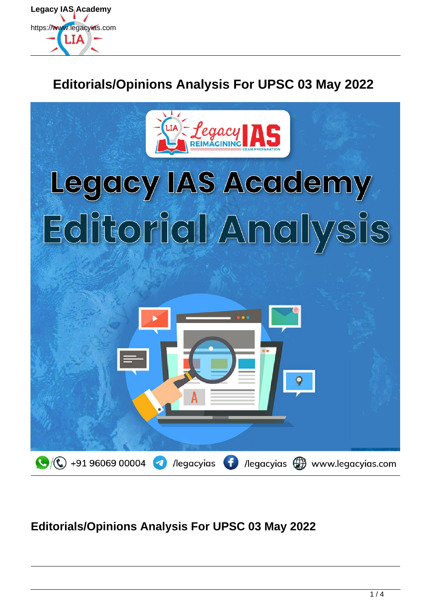

## **Editorials/Opinions Analysis For UPSC 03 May 2022**



## **Editorials/Opinions Analysis For UPSC 03 May 2022**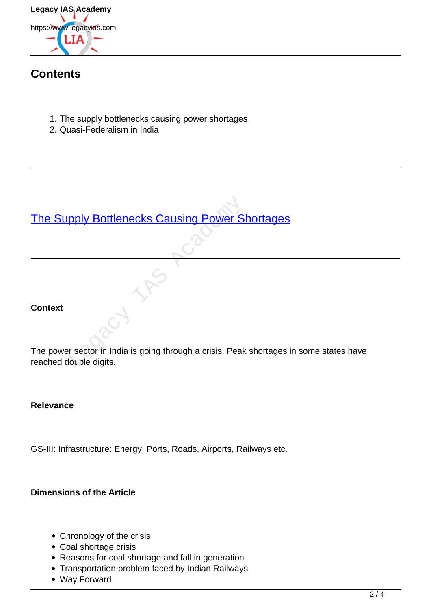

## **Contents**

- 1. The supply bottlenecks causing power shortages
- 2. Quasi-Federalism in India

# [The Supply Bottlenecks Causing Power Shortages](https://www.legacyias.com/supply-bottlenecks-causing-power-shortages/)

#### **Context**

The power sector in India is going through a crisis. Peak shortages in some states have reached double digits. pply Bottlenecks Causing Power S<br>
Computer States of the Section India is going through a crisis. Peak<br>
Ouble digits.

#### **Relevance**

GS-III: Infrastructure: Energy, Ports, Roads, Airports, Railways etc.

#### **Dimensions of the Article**

- Chronology of the crisis
- Coal shortage crisis
- Reasons for coal shortage and fall in generation
- Transportation problem faced by Indian Railways
- Way Forward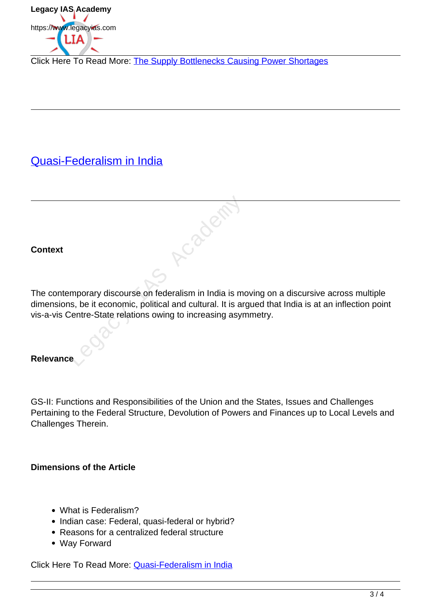

Click Here To Read More: The Supply Bottlenecks Causing Power Shortages

## Quasi-Federalism in India

#### **Context**

The contemporary discourse on federalism in India is moving on a discursive across multiple dimensions, be it economic, political and cultural. It is argued that India is at an inflection point vis-a-vis Centre-State relations owing to increasing asymmetry.

Academy

#### **Relevance**

GS-II: Functions and Responsibilities of the Union and the States, Issues and Challenges Pertaining to the Federal Structure, Devolution of Powers and Finances up to Local Levels and Challenges Therein.

#### **Dimensions of the Article**

- What is Federalism?
- Indian case: Federal, quasi-federal or hybrid?
- Reasons for a centralized federal structure
- Way Forward

Click Here To Read More: Quasi-Federalism in India